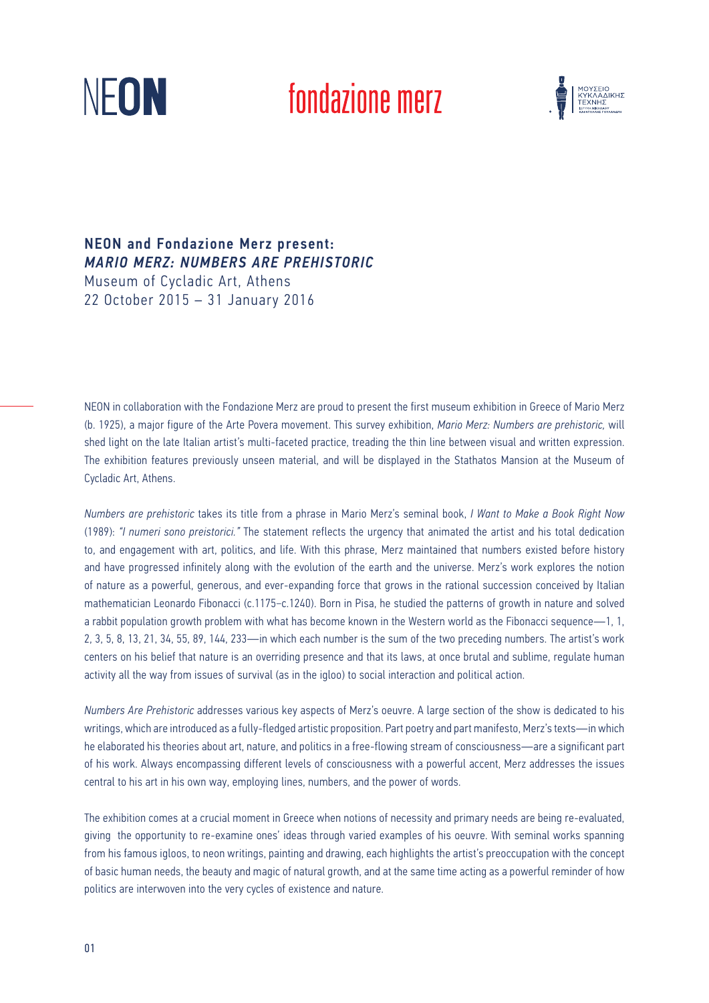# fondazione merz





NEON and Fondazione Merz present: *MARIO MERZ: NUMBERS ARE PREHISTORIC* Museum of Cycladic Art, Athens 22 October 2015 – 31 January 2016

NEON in collaboration with the Fondazione Merz are proud to present the first museum exhibition in Greece of Mario Merz (b. 1925), a major figure of the Arte Povera movement. This survey exhibition, *Mario Merz: Numbers are prehistoric,* will shed light on the late Italian artist's multi-faceted practice, treading the thin line between visual and written expression. The exhibition features previously unseen material, and will be displayed in the Stathatos Mansion at the Museum of Cycladic Art, Athens.

*Numbers are prehistoric* takes its title from a phrase in Mario Merz's seminal book, *I Want to Make a Book Right Now* (1989): *"I numeri sono preistorici."* The statement reflects the urgency that animated the artist and his total dedication to, and engagement with art, politics, and life. With this phrase, Merz maintained that numbers existed before history and have progressed infinitely along with the evolution of the earth and the universe. Merz's work explores the notion of nature as a powerful, generous, and ever-expanding force that grows in the rational succession conceived by Italian mathematician Leonardo Fibonacci (c.1175−c.1240). Born in Pisa, he studied the patterns of growth in nature and solved a rabbit population growth problem with what has become known in the Western world as the Fibonacci sequence—1, 1, 2, 3, 5, 8, 13, 21, 34, 55, 89, 144, 233—in which each number is the sum of the two preceding numbers. The artist's work centers on his belief that nature is an overriding presence and that its laws, at once brutal and sublime, regulate human activity all the way from issues of survival (as in the igloo) to social interaction and political action.

*Numbers Are Prehistoric* addresses various key aspects of Merz's oeuvre. A large section of the show is dedicated to his writings, which are introduced as a fully-fledged artistic proposition. Part poetry and part manifesto, Merz's texts—in which he elaborated his theories about art, nature, and politics in a free-flowing stream of consciousness—are a significant part of his work. Always encompassing different levels of consciousness with a powerful accent, Merz addresses the issues central to his art in his own way, employing lines, numbers, and the power of words.

The exhibition comes at a crucial moment in Greece when notions of necessity and primary needs are being re-evaluated, giving the opportunity to re-examine ones' ideas through varied examples of his oeuvre. With seminal works spanning from his famous igloos, to neon writings, painting and drawing, each highlights the artist's preoccupation with the concept of basic human needs, the beauty and magic of natural growth, and at the same time acting as a powerful reminder of how politics are interwoven into the very cycles of existence and nature.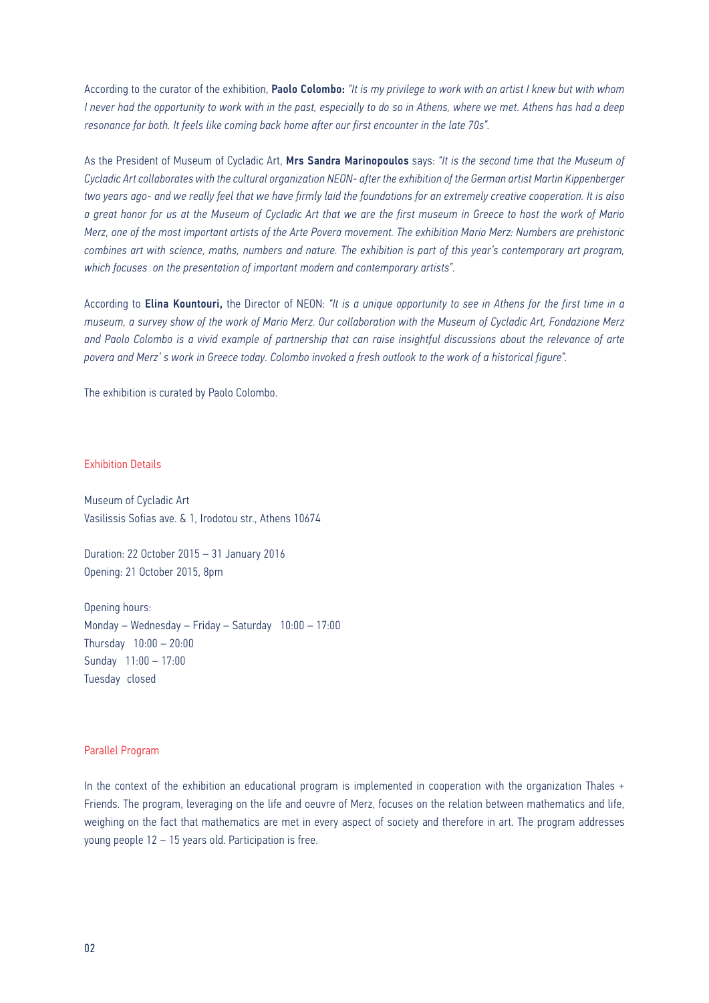According to the curator of the exhibition, Paolo Colombo: *"It is my privilege to work with an artist I knew but with whom I never had the opportunity to work with in the past, especially to do so in Athens, where we met. Athens has had a deep resonance for both. It feels like coming back home after our first encounter in the late 70s".*

As the President of Museum of Cycladic Art, Mrs Sandra Marinopoulos says: *"It is the second time that the Museum of Cycladic Art collaborates with the cultural organization NEON- after the exhibition of the German artist Martin Kippenberger two years ago- and we really feel that we have firmly laid the foundations for an extremely creative cooperation. It is also a great honor for us at the Museum of Cycladic Art that we are the first museum in Greece to host the work of Mario Merz, one of the most important artists of the Arte Povera movement. The exhibition Mario Merz: Numbers are prehistoric combines art with science, maths, numbers and nature. The exhibition is part of this year's contemporary art program, which focuses on the presentation of important modern and contemporary artists".*

According to Elina Kountouri, the Director of NEON: *"It is a unique opportunity to see in Athens for the first time in a museum, a survey show of the work of Mario Merz. Our collaboration with the Museum of Cycladic Art, Fondazione Merz and Paolo Colombo is a vivid example of partnership that can raise insightful discussions about the relevance of arte povera and Merz' s work in Greece today. Colombo invoked a fresh outlook to the work of a historical figure".*

The exhibition is curated by Paolo Colombo.

#### Exhibition Details

Museum of Cycladic Art Vasilissis Sofias ave. & 1, Irodotou str., Athens 10674

Duration: 22 October 2015 – 31 January 2016 Opening: 21 October 2015, 8pm

Opening hours: Monday – Wednesday – Friday – Saturday 10:00 – 17:00 Thursday 10:00 – 20:00 Sunday 11:00 – 17:00 Tuesday closed

## Parallel Program

In the context of the exhibition an educational program is implemented in cooperation with the organization Thales + Friends. The program, leveraging on the life and oeuvre of Merz, focuses on the relation between mathematics and life, weighing on the fact that mathematics are met in every aspect of society and therefore in art. The program addresses young people 12 – 15 years old. Participation is free.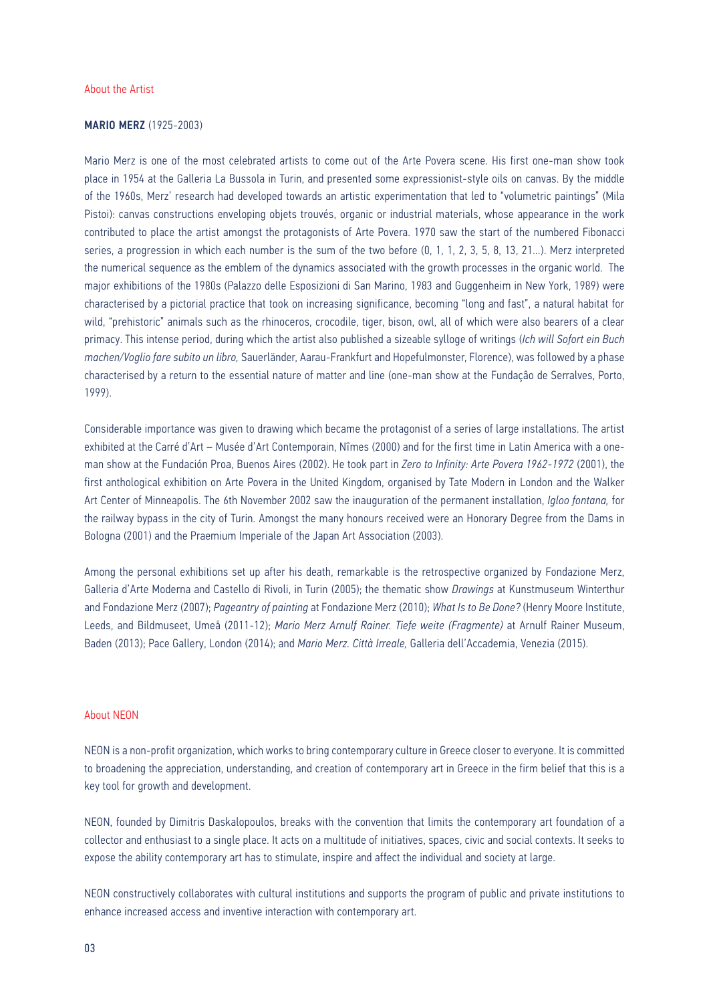# About the Artist

## MARIO MERZ (1925-2003)

Mario Merz is one of the most celebrated artists to come out of the Arte Povera scene. His first one-man show took place in 1954 at the Galleria La Bussola in Turin, and presented some expressionist-style oils on canvas. By the middle of the 1960s, Merz' research had developed towards an artistic experimentation that led to "volumetric paintings" (Mila Pistoi): canvas constructions enveloping objets trouvés, organic or industrial materials, whose appearance in the work contributed to place the artist amongst the protagonists of Arte Povera. 1970 saw the start of the numbered Fibonacci series, a progression in which each number is the sum of the two before (0, 1, 1, 2, 3, 5, 8, 13, 21…). Merz interpreted the numerical sequence as the emblem of the dynamics associated with the growth processes in the organic world. The major exhibitions of the 1980s (Palazzo delle Esposizioni di San Marino, 1983 and Guggenheim in New York, 1989) were characterised by a pictorial practice that took on increasing significance, becoming "long and fast", a natural habitat for wild, "prehistoric" animals such as the rhinoceros, crocodile, tiger, bison, owl, all of which were also bearers of a clear primacy. This intense period, during which the artist also published a sizeable sylloge of writings (*Ich will Sofort ein Buch machen/Voglio fare subito un libro,* Sauerländer, Aarau-Frankfurt and Hopefulmonster, Florence), was followed by a phase characterised by a return to the essential nature of matter and line (one-man show at the Fundaçâo de Serralves, Porto, 1999).

Considerable importance was given to drawing which became the protagonist of a series of large installations. The artist exhibited at the Carré d'Art – Musée d'Art Contemporain, Nîmes (2000) and for the first time in Latin America with a oneman show at the Fundación Proa, Buenos Aires (2002). He took part in *Zero to Infinity: Arte Povera 1962-1972* (2001), the first anthological exhibition on Arte Povera in the United Kingdom, organised by Tate Modern in London and the Walker Art Center of Minneapolis. The 6th November 2002 saw the inauguration of the permanent installation, *Igloo fontana,* for the railway bypass in the city of Turin. Amongst the many honours received were an Honorary Degree from the Dams in Bologna (2001) and the Praemium Imperiale of the Japan Art Association (2003).

Among the personal exhibitions set up after his death, remarkable is the retrospective organized by Fondazione Merz, Galleria d'Arte Moderna and Castello di Rivoli, in Turin (2005); the thematic show *Drawings* at Kunstmuseum Winterthur and Fondazione Merz (2007); *Pageantry of painting* at Fondazione Merz (2010); *What Is to Be Done?* (Henry Moore Institute, Leeds, and Bildmuseet, Umeå (2011-12); *Mario Merz Arnulf Rainer. Tiefe weite (Fragmente)* at Arnulf Rainer Museum, Baden (2013); Pace Gallery, London (2014); and *Mario Merz. Città Irreale,* Galleria dell'Accademia, Venezia (2015).

#### About NEON

NEON is a non-profit organization, which works to bring contemporary culture in Greece closer to everyone. It is committed to broadening the appreciation, understanding, and creation of contemporary art in Greece in the firm belief that this is a key tool for growth and development.

NEON, founded by Dimitris Daskalopoulos, breaks with the convention that limits the contemporary art foundation of a collector and enthusiast to a single place. It acts on a multitude of initiatives, spaces, civic and social contexts. It seeks to expose the ability contemporary art has to stimulate, inspire and affect the individual and society at large.

NEON constructively collaborates with cultural institutions and supports the program of public and private institutions to enhance increased access and inventive interaction with contemporary art.